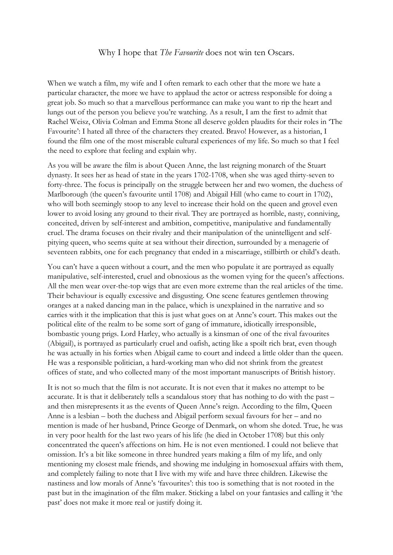## Why I hope that *The Favourite* does not win ten Oscars.

When we watch a film, my wife and I often remark to each other that the more we hate a particular character, the more we have to applaud the actor or actress responsible for doing a great job. So much so that a marvellous performance can make you want to rip the heart and lungs out of the person you believe you're watching. As a result, I am the first to admit that Rachel Weisz, Olivia Colman and Emma Stone all deserve golden plaudits for their roles in 'The Favourite': I hated all three of the characters they created. Bravo! However, as a historian, I found the film one of the most miserable cultural experiences of my life. So much so that I feel the need to explore that feeling and explain why.

As you will be aware the film is about Queen Anne, the last reigning monarch of the Stuart dynasty. It sees her as head of state in the years 1702-1708, when she was aged thirty-seven to forty-three. The focus is principally on the struggle between her and two women, the duchess of Marlborough (the queen's favourite until 1708) and Abigail Hill (who came to court in 1702), who will both seemingly stoop to any level to increase their hold on the queen and grovel even lower to avoid losing any ground to their rival. They are portrayed as horrible, nasty, conniving, conceited, driven by self-interest and ambition, competitive, manipulative and fundamentally cruel. The drama focuses on their rivalry and their manipulation of the unintelligent and selfpitying queen, who seems quite at sea without their direction, surrounded by a menagerie of seventeen rabbits, one for each pregnancy that ended in a miscarriage, stillbirth or child's death.

You can't have a queen without a court, and the men who populate it are portrayed as equally manipulative, self-interested, cruel and obnoxious as the women vying for the queen's affections. All the men wear over-the-top wigs that are even more extreme than the real articles of the time. Their behaviour is equally excessive and disgusting. One scene features gentlemen throwing oranges at a naked dancing man in the palace, which is unexplained in the narrative and so carries with it the implication that this is just what goes on at Anne's court. This makes out the political elite of the realm to be some sort of gang of immature, idiotically irresponsible, bombastic young prigs. Lord Harley, who actually is a kinsman of one of the rival favourites (Abigail), is portrayed as particularly cruel and oafish, acting like a spoilt rich brat, even though he was actually in his forties when Abigail came to court and indeed a little older than the queen. He was a responsible politician, a hard-working man who did not shrink from the greatest offices of state, and who collected many of the most important manuscripts of British history.

It is not so much that the film is not accurate. It is not even that it makes no attempt to be accurate. It is that it deliberately tells a scandalous story that has nothing to do with the past – and then misrepresents it as the events of Queen Anne's reign. According to the film, Queen Anne is a lesbian – both the duchess and Abigail perform sexual favours for her – and no mention is made of her husband, Prince George of Denmark, on whom she doted. True, he was in very poor health for the last two years of his life (he died in October 1708) but this only concentrated the queen's affections on him. He is not even mentioned. I could not believe that omission. It's a bit like someone in three hundred years making a film of my life, and only mentioning my closest male friends, and showing me indulging in homosexual affairs with them, and completely failing to note that I live with my wife and have three children. Likewise the nastiness and low morals of Anne's 'favourites': this too is something that is not rooted in the past but in the imagination of the film maker. Sticking a label on your fantasies and calling it 'the past' does not make it more real or justify doing it.